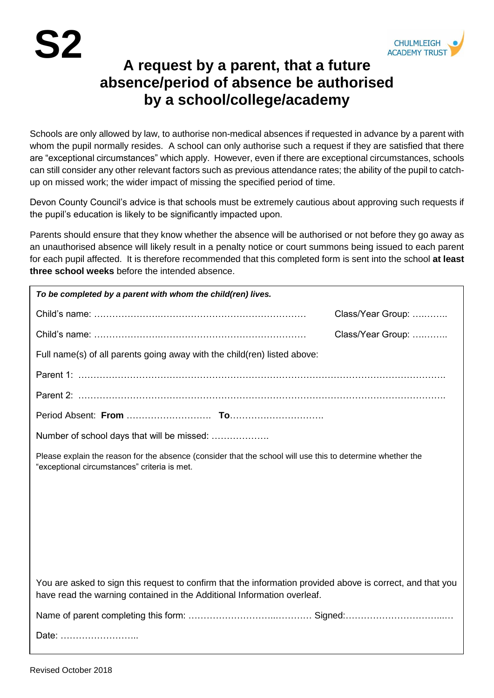

## **A request by a parent, that a future absence/period of absence be authorised by a school/college/academy**

Schools are only allowed by law, to authorise non-medical absences if requested in advance by a parent with whom the pupil normally resides. A school can only authorise such a request if they are satisfied that there are "exceptional circumstances" which apply. However, even if there are exceptional circumstances, schools can still consider any other relevant factors such as previous attendance rates; the ability of the pupil to catchup on missed work; the wider impact of missing the specified period of time.

Devon County Council's advice is that schools must be extremely cautious about approving such requests if the pupil's education is likely to be significantly impacted upon.

Parents should ensure that they know whether the absence will be authorised or not before they go away as an unauthorised absence will likely result in a penalty notice or court summons being issued to each parent for each pupil affected. It is therefore recommended that this completed form is sent into the school **at least three school weeks** before the intended absence.

| To be completed by a parent with whom the child(ren) lives.                                                                                                                           |                   |  |
|---------------------------------------------------------------------------------------------------------------------------------------------------------------------------------------|-------------------|--|
|                                                                                                                                                                                       | Class/Year Group: |  |
|                                                                                                                                                                                       | Class/Year Group: |  |
| Full name(s) of all parents going away with the child(ren) listed above:                                                                                                              |                   |  |
|                                                                                                                                                                                       |                   |  |
|                                                                                                                                                                                       |                   |  |
|                                                                                                                                                                                       |                   |  |
| Number of school days that will be missed:                                                                                                                                            |                   |  |
| Please explain the reason for the absence (consider that the school will use this to determine whether the<br>"exceptional circumstances" criteria is met.                            |                   |  |
|                                                                                                                                                                                       |                   |  |
|                                                                                                                                                                                       |                   |  |
|                                                                                                                                                                                       |                   |  |
|                                                                                                                                                                                       |                   |  |
|                                                                                                                                                                                       |                   |  |
| You are asked to sign this request to confirm that the information provided above is correct, and that you<br>have read the warning contained in the Additional Information overleaf. |                   |  |
|                                                                                                                                                                                       |                   |  |
| Date:                                                                                                                                                                                 |                   |  |